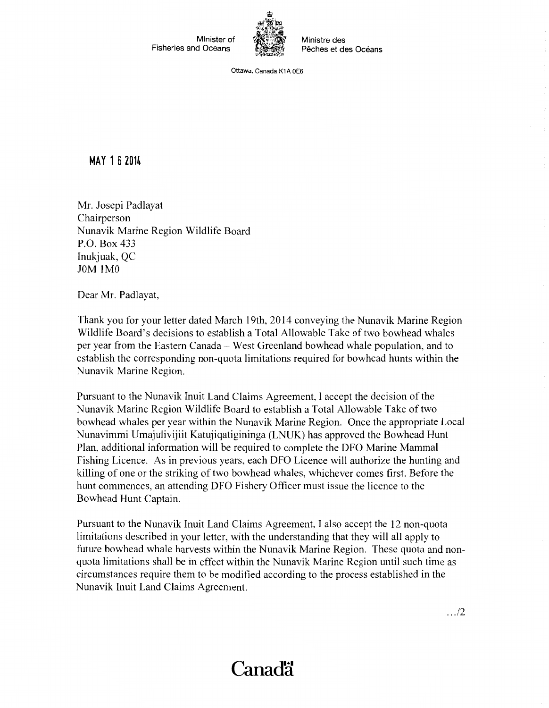Minister of Fisheries and Oceans



Ministre des Pêches et des Océans

Ottawa, Canada K1A OE6

## **MAY 1 6 2014**

Mr. Josepi Padlayat Chairperson Nunavik Marine Region Wildlife Board P.O. Box 433 Inukjuak, QC JOM IMO

Dear Mr. Padlayat,

Thank you for your letter dated March 19th, 2014 conveying the Nunavik Marine Region Wildlife Board's decisions to establish a Total Allowable Take of two bowhead whales per year from the Eastern Canada - West Greenland bowhead whale population, and to establish the corresponding non-quota limitations required for bowhead hunts within the Nunavik Marine Region.

Pursuant to the Nunavik Inuit Land Claims Agreement, I accept the decision of the Nunavik Marine Region Wildlife Board to establish a Total Allowable Take of two bowhead whales per year within the Nunavik Marine Region. Once the appropriate Local Nunavimmi Umajulivijiit Katujiqatigininga (LNUK) has approved the Bowhead Hunt Plan, additional information will be required to complete the DFO Marine Mammal Fishing Licence. As in previous years, each DFO Licence will authorize the hunting and killing of one or the striking of two bowhead whales, whichever comes first. Before the hunt commences, an attending DFO Fishery Officer must issue the licence to the Bowhead Hunt Captain.

Pursuant to the Nunavik Inuit Land Claims Agreement, I also accept the 12 non-quota limitations described in your letter, with the understanding that they will all apply to future bowhead whale harvests within the Nunavik Marine Region. These quota and nonquota limitations shall be in effect within the Nunavik Marine Region until such time as circumstances require them to be modified according to the process established in the Nunavik Inuit Land Claims Agreement.

.. ./2

## Canad<sup>"</sup>